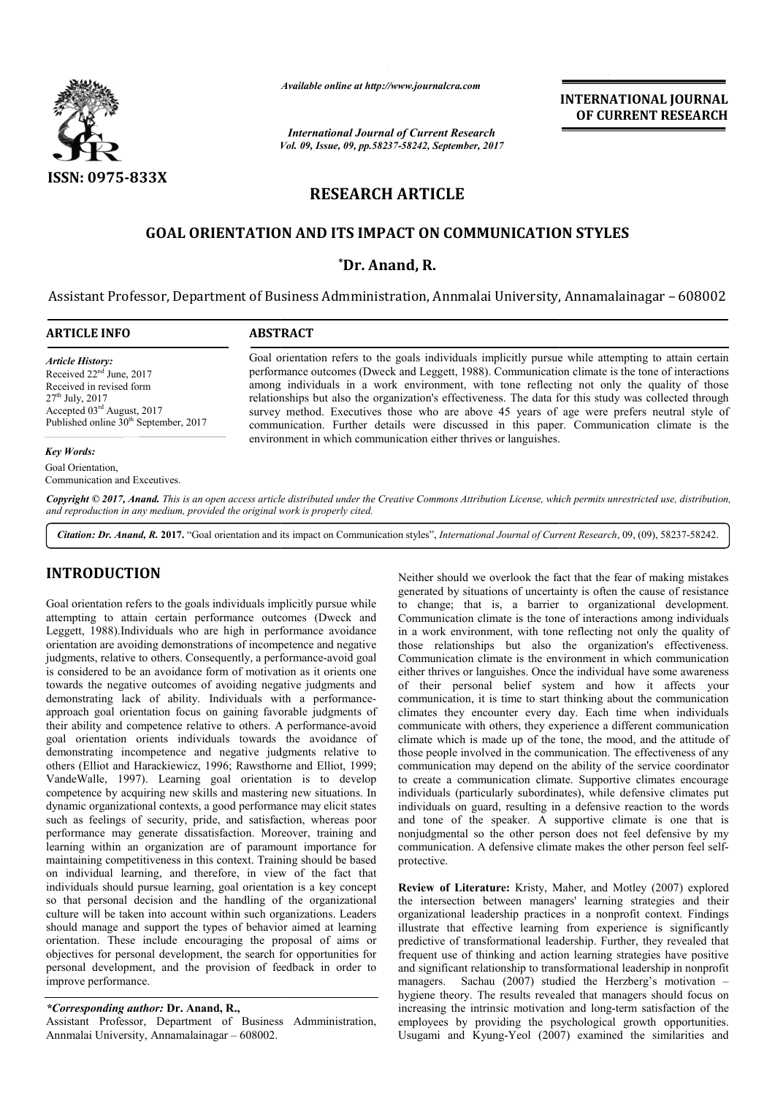

*Available online at http://www.journalcra.com*

*Vol. 09, Issue, 09, pp.58237-58242, September, 2017 International Journal of Current Research*

**INTERNATIONAL JOURNAL OF CURRENT RESEARCH**

# **RESEARCH ARTICLE**

# **GOAL ORIENTATION AND ITS IMPACT ON COMMUNICATION STYLES IMPACT ON**

# **\*Dr. Anand, R.**

Assistant Professor, Department of Business Admministration, Annmalai University, Annamalainagar - 608002

Goal orientation refers to the goals individuals implicitly pursue while attempting to attain certain performance outcomes (Dweck and Leggett, 1988). Communication climate is the tone of interactions among individuals in a work environment, with tone reflecting not only the quality of those relationships but also the organization's effectiveness. The data for this study was collected through survey method. Executives those who are above 45 years of age were prefers neutral style of

Goal orientation refers to the goals individuals implicitly pursue while attempting to attain certain performance outcomes (Dweck and Leggett, 1988). Communication climate is the tone of interactions among individuals in a

# **ARTICLE INFO ABSTRACT**

*Article History:* Received 22nd June, 2017 Received in revised form 27th July, 2017 Accepted 03rd August, 2017 Published online  $30<sup>th</sup>$  September, 2017

*Key Words:*

Goal Orientation, Communication and Exceutives.

Copyright © 2017, Anand. This is an open access article distributed under the Creative Commons Attribution License, which permits unrestricted use, distribution, *and reproduction in any medium, provided the original work is properly cited.*

communica communication. Further details were discussed in this paper. environment in which communication either thrives or languishes.

Citation: Dr. Anand, R. 2017. "Goal orientation and its impact on Communication styles", *International Journal of Current Research*, 09, (09), 58237-58242.

# **INTRODUCTION**

Goal orientation refers to the goals individuals implicitly pursue while attempting to attain certain performance outcomes (Dweck and Leggett, 1988).Individuals who are high in performance avoidance orientation are avoiding demonstrations of incompetence and negative Leggett, 1988).Individuals who are high in performance avoidance<br>orientation are avoiding demonstrations of incompetence and negative<br>judgments, relative to others. Consequently, a performance-avoid goal is considered to be an avoidance form of motivation as it orients one towards the negative outcomes of avoiding negative judgments and demonstrating lack of ability. Individuals with a performanceapproach goal orientation focus on gaining favorable judgments of their ability and competence relative to others. A performance-avoid goal orientation orients individuals towards the avoidance of demonstrating incompetence and negative judgments relative to others (Elliot and Harackiewicz, 1996; Rawsthorne and Elliot, 1999; VandeWalle, 1997). Learning goal orientation is to develop competence by acquiring new skills and mastering new situations. In dynamic organizational contexts, a good performance may elicit states such as feelings of security, pride, and satisfaction, whereas poor performance may generate dissatisfaction. Moreover, training and learning within an organization are of paramount importance for maintaining competitiveness in this context. Training should be based on individual learning, and therefore, in view of the fact that individuals should pursue learning, goal orientation is a key concept so that personal decision and the handling of the organizational culture will be taken into account within such organizations. Leaders should manage and support the types of behavior aimed at learning orientation. These include encouraging the proposal of aims or objectives for personal development, the search for opportunities for personal development, and the provision of feedback in order to improve performance. satisfaction. Moreover, training and<br>n are of paramount importance for<br>his context. Training should be based<br>herefore, in view of the fact that<br>ng, goal orientation is a key concept<br>the handling of the organizational

*\*Corresponding author:* **Dr. Anand, R.,**

Assistant Professor, Department of Business Admministration, Annmalai University, Annamalainagar – 608002.

FIGN<br>
Neither should by situations of mecreform that is fact of mechanical<br>
fear of the gausli individuals implicitly pursue while<br>
fear of the fact of mechanical development.<br>
this, a barrier to congrational development<br> generated by situations of uncertainty is often the cause of resistance to change; that is, a barrier to organizational development. Communication climate is the tone of interactions among individuals in a work environment, with tone reflecting not only the quality of those relationships but also the organization's effectiveness. Communication climate is the environment in which communication either thrives or languishes. Once the individual have some awareness of their personal belief system and how it affects your communication, it is time to start thinking about the communication climates they encounter every day. Each time when individuals communicate with others, they experience a different communication climate which is made up of the tone, the mood, and the attitude of those people involved in the communication. The effectiveness of any communication may depend on the ability of the service coordinator to create a communication climate. Supportive climates encourage individuals (particularly subordinates), while defensive climates put individuals (particularly subordinates), while defensive climates put<br>individuals on guard, resulting in a defensive reaction to the words and tone of the speaker. A supportive climate is one that is nonjudgmental so the other person does not feel defensive by my communication. A defensive climate makes the other person feel self protective. Neither should we overlook the fact that the fear of making mistakes<br>generated by situations of uncertainty is often the cause of resistance<br>to change; that is, a barrier to organizational development.<br>Communication climat of the speaker. A supportive climate is one that is ntal so the other person does not feel defensive by my A person. A defensive climate makes the other person feel self-

**Review of Literature:** Kristy, Maher, and Motley (2007) explored the intersection between managers' learning strategies and their organizational leadership practices in a nonprofit context. Findings illustrate that effective learning from experience is significantly predictive of transformational leadership. Further, they revealed that frequent use of thinking and action learning strategies have positive and significant relationship to transformational leadership in nonprofit managers. Sachau (2007) studied the Herzberg's motivation – hygiene theory. The results revealed that managers should focus on hygiene theory. The results revealed that managers should focus on increasing the intrinsic motivation and long-term satisfaction of the employees by providing the psychological growth opportunities. employees by providing the psychological growth opportunities.<br>Usugami and Kyung-Yeol (2007) examined the similarities and intersection between managers' learning strategies and their mizational leadership practices in a nonprofit context. Findings trate that effective learning from experience is significantly lictive of transformational leade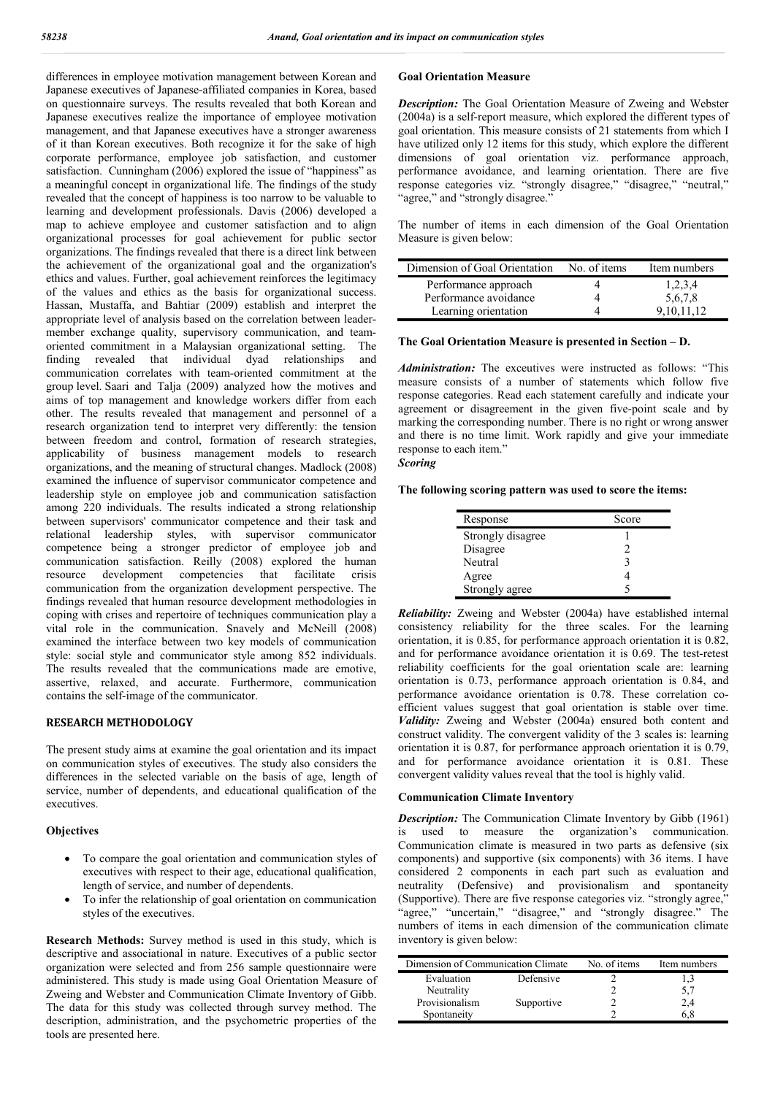differences in employee motivation management between Korean and Japanese executives of Japanese-affiliated companies in Korea, based on questionnaire surveys. The results revealed that both Korean and Japanese executives realize the importance of employee motivation management, and that Japanese executives have a stronger awareness of it than Korean executives. Both recognize it for the sake of high corporate performance, employee job satisfaction, and customer satisfaction. Cunningham (2006) explored the issue of "happiness" as a meaningful concept in organizational life. The findings of the study revealed that the concept of happiness is too narrow to be valuable to learning and development professionals. Davis (2006) developed a map to achieve employee and customer satisfaction and to align organizational processes for goal achievement for public sector organizations. The findings revealed that there is a direct link between the achievement of the organizational goal and the organization's ethics and values. Further, goal achievement reinforces the legitimacy of the values and ethics as the basis for organizational success. Hassan, Mustaffa, and Bahtiar (2009) establish and interpret the appropriate level of analysis based on the correlation between leadermember exchange quality, supervisory communication, and teamoriented commitment in a Malaysian organizational setting. The finding revealed that individual dyad relationships and communication correlates with team-oriented commitment at the group level. Saari and Talja (2009) analyzed how the motives and aims of top management and knowledge workers differ from each other. The results revealed that management and personnel of a research organization tend to interpret very differently: the tension between freedom and control, formation of research strategies, applicability of business management models to research organizations, and the meaning of structural changes. Madlock (2008) examined the influence of supervisor communicator competence and leadership style on employee job and communication satisfaction among 220 individuals. The results indicated a strong relationship between supervisors' communicator competence and their task and relational leadership styles, with supervisor communicator competence being a stronger predictor of employee job and communication satisfaction. Reilly (2008) explored the human resource development competencies that facilitate crisis communication from the organization development perspective. The findings revealed that human resource development methodologies in coping with crises and repertoire of techniques communication play a vital role in the communication. Snavely and McNeill (2008) examined the interface between two key models of communication style: social style and communicator style among 852 individuals. The results revealed that the communications made are emotive, assertive, relaxed, and accurate. Furthermore, communication contains the self-image of the communicator.

## **RESEARCH METHODOLOGY**

The present study aims at examine the goal orientation and its impact on communication styles of executives. The study also considers the differences in the selected variable on the basis of age, length of service, number of dependents, and educational qualification of the executives.

# **Objectives**

- To compare the goal orientation and communication styles of executives with respect to their age, educational qualification, length of service, and number of dependents.
- To infer the relationship of goal orientation on communication styles of the executives.

**Research Methods:** Survey method is used in this study, which is descriptive and associational in nature. Executives of a public sector organization were selected and from 256 sample questionnaire were administered. This study is made using Goal Orientation Measure of Zweing and Webster and Communication Climate Inventory of Gibb. The data for this study was collected through survey method. The description, administration, and the psychometric properties of the tools are presented here.

# **Goal Orientation Measure**

*Description:* The Goal Orientation Measure of Zweing and Webster (2004a) is a self-report measure, which explored the different types of goal orientation. This measure consists of 21 statements from which I have utilized only 12 items for this study, which explore the different dimensions of goal orientation viz. performance approach, performance avoidance, and learning orientation. There are five response categories viz. "strongly disagree," "disagree," "neutral," "agree," and "strongly disagree."

The number of items in each dimension of the Goal Orientation Measure is given below:

| Dimension of Goal Orientation | No. of items | Item numbers |
|-------------------------------|--------------|--------------|
| Performance approach          |              | 1,2,3,4      |
| Performance avoidance         |              | 5,6,7,8      |
| Learning orientation          |              | 9.10.11.12   |

#### **The Goal Orientation Measure is presented in Section – D.**

*Administration:* The exceutives were instructed as follows: "This measure consists of a number of statements which follow five response categories. Read each statement carefully and indicate your agreement or disagreement in the given five-point scale and by marking the corresponding number. There is no right or wrong answer and there is no time limit. Work rapidly and give your immediate response to each item."

# *Scoring*

# **The following scoring pattern was used to score the items:**

| Response          | Score |
|-------------------|-------|
| Strongly disagree |       |
| Disagree          |       |
| Neutral           |       |
| Agree             |       |
| Strongly agree    |       |

*Reliability:* Zweing and Webster (2004a) have established internal consistency reliability for the three scales. For the learning orientation, it is 0.85, for performance approach orientation it is 0.82, and for performance avoidance orientation it is 0.69. The test-retest reliability coefficients for the goal orientation scale are: learning orientation is 0.73, performance approach orientation is 0.84, and performance avoidance orientation is 0.78. These correlation coefficient values suggest that goal orientation is stable over time. *Validity:* Zweing and Webster (2004a) ensured both content and construct validity. The convergent validity of the 3 scales is: learning orientation it is 0.87, for performance approach orientation it is 0.79, and for performance avoidance orientation it is 0.81. These convergent validity values reveal that the tool is highly valid.

#### **Communication Climate Inventory**

**Description:** The Communication Climate Inventory by Gibb (1961) is used to measure the organization's communication. Communication climate is measured in two parts as defensive (six components) and supportive (six components) with 36 items. I have considered 2 components in each part such as evaluation and neutrality (Defensive) and provisionalism and spontaneity (Supportive). There are five response categories viz. "strongly agree," "agree," "uncertain," "disagree," and "strongly disagree." The numbers of items in each dimension of the communication climate inventory is given below:

| Dimension of Communication Climate |            | No. of items | Item numbers |
|------------------------------------|------------|--------------|--------------|
| Evaluation                         | Defensive  |              |              |
| Neutrality                         |            |              | 5,7          |
| Provisionalism                     | Supportive |              | 2,4          |
| Spontaneity                        |            |              |              |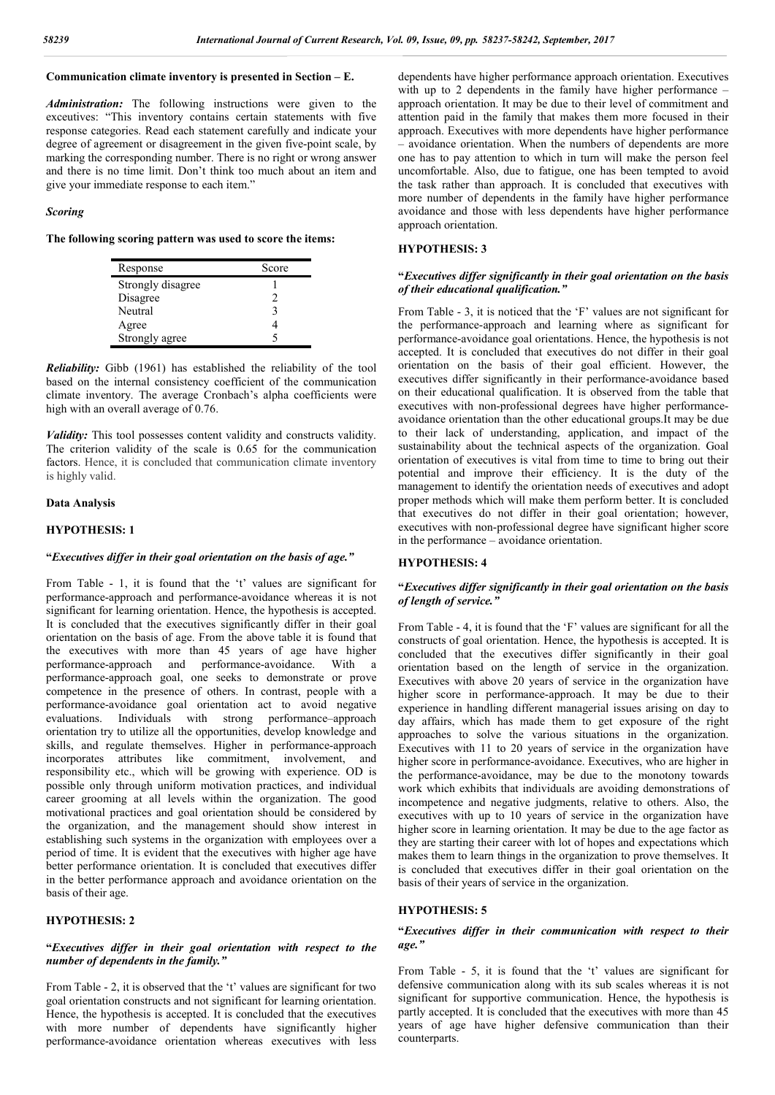# **Communication climate inventory is presented in Section – E.**

*Administration:* The following instructions were given to the exceutives: "This inventory contains certain statements with five response categories. Read each statement carefully and indicate your degree of agreement or disagreement in the given five-point scale, by marking the corresponding number. There is no right or wrong answer and there is no time limit. Don't think too much about an item and give your immediate response to each item."

#### *Scoring*

**The following scoring pattern was used to score the items:**

| Response          | Score |
|-------------------|-------|
| Strongly disagree |       |
| Disagree          |       |
| Neutral           |       |
| Agree             |       |
| Strongly agree    |       |

*Reliability:* Gibb (1961) has established the reliability of the tool based on the internal consistency coefficient of the communication climate inventory. The average Cronbach's alpha coefficients were high with an overall average of 0.76.

*Validity:* This tool possesses content validity and constructs validity. The criterion validity of the scale is 0.65 for the communication factors. Hence, it is concluded that communication climate inventory is highly valid.

# **Data Analysis**

# **HYPOTHESIS: 1**

#### **"***Executives differ in their goal orientation on the basis of age."*

From Table - 1, it is found that the 't' values are significant for performance-approach and performance-avoidance whereas it is not significant for learning orientation. Hence, the hypothesis is accepted. It is concluded that the executives significantly differ in their goal orientation on the basis of age. From the above table it is found that the executives with more than 45 years of age have higher performance-approach and performance-avoidance. With a performance-approach goal, one seeks to demonstrate or prove competence in the presence of others. In contrast, people with a performance-avoidance goal orientation act to avoid negative evaluations. Individuals with strong performance–approach orientation try to utilize all the opportunities, develop knowledge and skills, and regulate themselves. Higher in performance-approach incorporates attributes like commitment, involvement, and responsibility etc., which will be growing with experience. OD is possible only through uniform motivation practices, and individual career grooming at all levels within the organization. The good motivational practices and goal orientation should be considered by the organization, and the management should show interest in establishing such systems in the organization with employees over a period of time. It is evident that the executives with higher age have better performance orientation. It is concluded that executives differ in the better performance approach and avoidance orientation on the basis of their age.

# **HYPOTHESIS: 2**

# **"***Executives differ in their goal orientation with respect to the number of dependents in the family."*

From Table - 2, it is observed that the 't' values are significant for two goal orientation constructs and not significant for learning orientation. Hence, the hypothesis is accepted. It is concluded that the executives with more number of dependents have significantly higher performance-avoidance orientation whereas executives with less

dependents have higher performance approach orientation. Executives with up to 2 dependents in the family have higher performance – approach orientation. It may be due to their level of commitment and attention paid in the family that makes them more focused in their approach. Executives with more dependents have higher performance – avoidance orientation. When the numbers of dependents are more one has to pay attention to which in turn will make the person feel uncomfortable. Also, due to fatigue, one has been tempted to avoid the task rather than approach. It is concluded that executives with more number of dependents in the family have higher performance avoidance and those with less dependents have higher performance approach orientation.

# **HYPOTHESIS: 3**

# **"***Executives differ significantly in their goal orientation on the basis of their educational qualification."*

From Table - 3, it is noticed that the 'F' values are not significant for the performance-approach and learning where as significant for performance-avoidance goal orientations. Hence, the hypothesis is not accepted. It is concluded that executives do not differ in their goal orientation on the basis of their goal efficient. However, the executives differ significantly in their performance-avoidance based on their educational qualification. It is observed from the table that executives with non-professional degrees have higher performanceavoidance orientation than the other educational groups.It may be due to their lack of understanding, application, and impact of the sustainability about the technical aspects of the organization. Goal orientation of executives is vital from time to time to bring out their potential and improve their efficiency. It is the duty of the management to identify the orientation needs of executives and adopt proper methods which will make them perform better. It is concluded that executives do not differ in their goal orientation; however, executives with non-professional degree have significant higher score in the performance – avoidance orientation.

# **HYPOTHESIS: 4**

## **"***Executives differ significantly in their goal orientation on the basis of length of service."*

From Table - 4, it is found that the 'F' values are significant for all the constructs of goal orientation. Hence, the hypothesis is accepted. It is concluded that the executives differ significantly in their goal orientation based on the length of service in the organization. Executives with above 20 years of service in the organization have higher score in performance-approach. It may be due to their experience in handling different managerial issues arising on day to day affairs, which has made them to get exposure of the right approaches to solve the various situations in the organization. Executives with 11 to 20 years of service in the organization have higher score in performance-avoidance. Executives, who are higher in the performance-avoidance, may be due to the monotony towards work which exhibits that individuals are avoiding demonstrations of incompetence and negative judgments, relative to others. Also, the executives with up to 10 years of service in the organization have higher score in learning orientation. It may be due to the age factor as they are starting their career with lot of hopes and expectations which makes them to learn things in the organization to prove themselves. It is concluded that executives differ in their goal orientation on the basis of their years of service in the organization.

# **HYPOTHESIS: 5**

# **"***Executives differ in their communication with respect to their age."*

From Table - 5, it is found that the 't' values are significant for defensive communication along with its sub scales whereas it is not significant for supportive communication. Hence, the hypothesis is partly accepted. It is concluded that the executives with more than 45 years of age have higher defensive communication than their counterparts.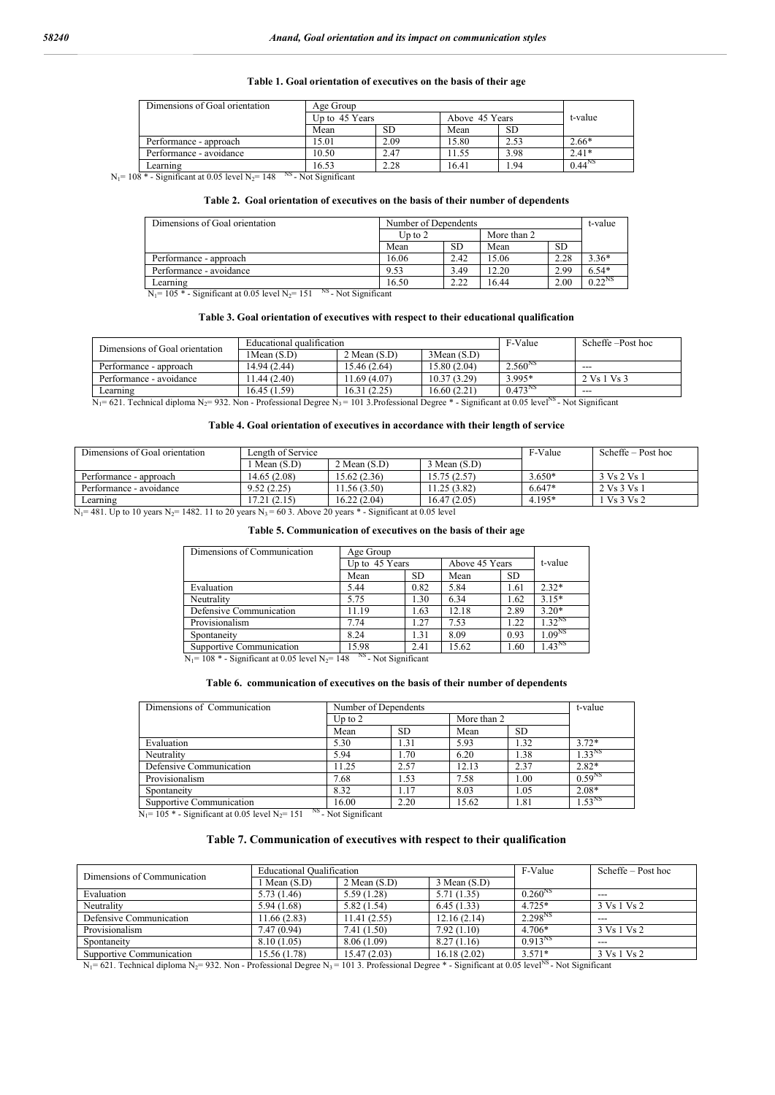#### **Table 1. Goal orientation of executives on the basis of their age**

| Dimensions of Goal orientation | Age Group      |      |                |      |             |
|--------------------------------|----------------|------|----------------|------|-------------|
|                                | Up to 45 Years |      | Above 45 Years |      | t-value     |
|                                | Mean           | SD.  | Mean           | SD.  |             |
| Performance - approach         | 15.01          | 2.09 | 15.80          |      | $2.66*$     |
| Performance - avoidance        | 10.50          | 2.47 | 11.55          | 3.98 | $2.41*$     |
| Learning<br>$\cdots$           | 16.53          | 2.28 | 16.41          | . 94 | $0.44^{NS}$ |

 $N_1$ = 108 \* - Significant at 0.05 level  $N_2$ = 148 <sup>NS</sup> - Not Significant

#### **Table 2. Goal orientation of executives on the basis of their number of dependents**

| Dimensions of Goal orientation                                          | Number of Dependents |      |             |           | t-value     |
|-------------------------------------------------------------------------|----------------------|------|-------------|-----------|-------------|
|                                                                         | Up to $2$            |      | More than 2 |           |             |
|                                                                         | Mean                 | SD   | Mean        | <b>SD</b> |             |
| Performance - approach                                                  | 16.06                | 2.42 | 15.06       |           | $3.36*$     |
| Performance - avoidance                                                 | 9.53                 | 3.49 | 12.20       | 2.99      | $6.54*$     |
| Learning                                                                | 16.50                | 2.22 | 16.44       | 2.00      | $0.22^{NS}$ |
| NS.<br>Not Cimificant<br>$N = 105 *$ Conjfigure of 0.05 loved $N = 151$ |                      |      |             |           |             |

 $N_1$ = 105 \* - Significant at 0.05 level  $N_2$ = 151 <sup>NS</sup> - Not Significant

#### **Table 3. Goal orientation of executives with respect to their educational qualification**

| Dimensions of Goal orientation | Educational qualification |                  | F-Value     | Scheffe –Post hoc |             |
|--------------------------------|---------------------------|------------------|-------------|-------------------|-------------|
|                                | $1$ Mean $(S,D)$          | $2$ Mean $(S.D)$ | 3Mean(S.D)  |                   |             |
| Performance - approach         | 14.94 (2.44)              | 15.46(2.64)      | 15.80(2.04) | $2.560^{NS}$      | $- - -$     |
| Performance - avoidance        | 11.44 (2.40)              | 1.69(4.07)       | 10.37(3.29) | 3.995*            | 2 Vs 1 Vs 3 |
| Learning                       | 16.45 (1.59)              | 16.31(2.25)      | 16.60(2.21) | $0.473^{N}$       | $- - -$     |

 $N_1$ = 621. Technical diploma  $N_2$ = 932. Non - Professional Degree  $N_3$ = 101 3. Professional Degree  $*$  - Significant at 0.05 level<sup>NS</sup> - Not Significant

### **Table 4. Goal orientation of executives in accordance with their length of service**

| Dimensions of Goal orientation | Length of Service |                  | F-Value      | Scheffe $-$ Post hoc |                                 |
|--------------------------------|-------------------|------------------|--------------|----------------------|---------------------------------|
|                                | Mean $(S.D)$      | $2$ Mean $(S.D)$ | 3 Mean (S.D) |                      |                                 |
| Performance - approach         | 14.65 (2.08)      | 15.62(2.36)      | 15.75 (2.57) | $3.650*$             | 3 Vs 2 Vs 1                     |
| Performance - avoidance        | 9.52(2.25)        | .56(3.50)        | 1.25(3.82)   | $6.647*$             | 2 Vs 3 Vs 1                     |
| ∟earning                       | 17.21 (2.15)      | 16.22(2.04)      | 16.47(2.05)  | $4.195*$             | Vs <sub>3</sub> Vs <sub>2</sub> |

 $N_1$ = 481. Up to 10 years  $N_2$ = 1482. 11 to 20 years  $N_3$  = 60 3. Above 20 years  $*$  - Significant at 0.05 level

#### **Table 5. Communication of executives on the basis of their age**

| Dimensions of Communication | Age Group                                                          |           |                |           |                    |
|-----------------------------|--------------------------------------------------------------------|-----------|----------------|-----------|--------------------|
|                             | Up to 45 Years                                                     |           | Above 45 Years |           | t-value            |
|                             | Mean                                                               | <b>SD</b> | Mean           | <b>SD</b> |                    |
| Evaluation                  | 5.44                                                               | 0.82      | 5.84           | 1.61      | $2.32*$            |
| Neutrality                  | 5.75                                                               | 1.30      | 6.34           | 1.62      | $3.15*$            |
| Defensive Communication     | 11.19                                                              | 1.63      | 12.18          | 2.89      | $3.20*$            |
| Provisionalism              | 7.74                                                               | 1.27      | 7.53           | 1.22      | $1.32^{NS}$        |
| Spontaneity                 | 8.24                                                               | 1.31      | 8.09           | 0.93      | 1.09 <sup>NS</sup> |
| Supportive Communication    | 15.98<br>$\lambda$ in the set of $\lambda$ is the set of $\lambda$ | 2.41      | 15.62          | 1.60      | 1.43 <sup>NS</sup> |

 $N_1$ = 108 \* - Significant at 0.05 level  $N_2$ = 148 <sup>NS</sup> - Not Significant

## **Table 6. communication of executives on the basis of their number of dependents**

| Dimensions of Communication | Number of Dependents |           | t-value     |           |                    |
|-----------------------------|----------------------|-----------|-------------|-----------|--------------------|
|                             | Up to $2$            |           | More than 2 |           |                    |
|                             | Mean                 | <b>SD</b> | Mean        | <b>SD</b> |                    |
| Evaluation                  | 5.30                 | 1.31      | 5.93        | 1.32      | $3.72*$            |
| Neutrality                  | 5.94                 | 1.70      | 6.20        | 1.38      | 1.33 <sup>NS</sup> |
| Defensive Communication     | 11.25                | 2.57      | 12.13       | 2.37      | $2.82*$            |
| Provisionalism              | 7.68                 | 1.53      | 7.58        | 1.00      | $0.59^{NS}$        |
| Spontaneity                 | 8.32                 | 1.17      | 8.03        | 1.05      | $2.08*$            |
| Supportive Communication    | 16.00                | 2.20      | 15.62       | 1.81      | $1.53^{NS}$        |

 $N_1$ = 105 \* - Significant at 0.05 level  $N_2$ = 151 <sup>NS</sup> - Not Significant

#### **Table 7. Communication of executives with respect to their qualification**

|                             | <b>Educational Qualification</b> |                  | F-Value      | Scheffe $-$ Post hoc |             |
|-----------------------------|----------------------------------|------------------|--------------|----------------------|-------------|
| Dimensions of Communication | 1 Mean (S.D)                     | $2$ Mean $(S.D)$ | 3 Mean (S.D) |                      |             |
| Evaluation                  | 5.73(1.46)                       | 5.59(1.28)       | 5.71(1.35)   | $0.260^{NS}$         | $- - -$     |
| Neutrality                  | 5.94(1.68)                       | 5.82(1.54)       | 6.45(1.33)   | $4.725*$             | 3 Vs 1 Vs 2 |
| Defensive Communication     | 11.66(2.83)                      | 11.41(2.55)      | 12.16(2.14)  | $2.298^{NS}$         | $---$       |
| Provisionalism              | 7.47(0.94)                       | 7.41 (1.50)      | 7.92(1.10)   | $4.706*$             | 3 Vs 1 Vs 2 |
| Spontaneity                 | 8.10(1.05)                       | 8.06 (1.09)      | 8.27(1.16)   | $0.913^{NS}$         | $- - -$     |
| Supportive Communication    | 15.56(1.78)                      | 15.47(2.03)      | 16.18(2.02)  | $3.571*$             | 3 Vs 1 Vs 2 |

 $N_1$ = 621. Technical diploma  $N_2$ = 932. Non - Professional Degree  $N_3$ = 101 3. Professional Degree  $*$  - Significant at 0.05 level<sup>NS</sup> - Not Significant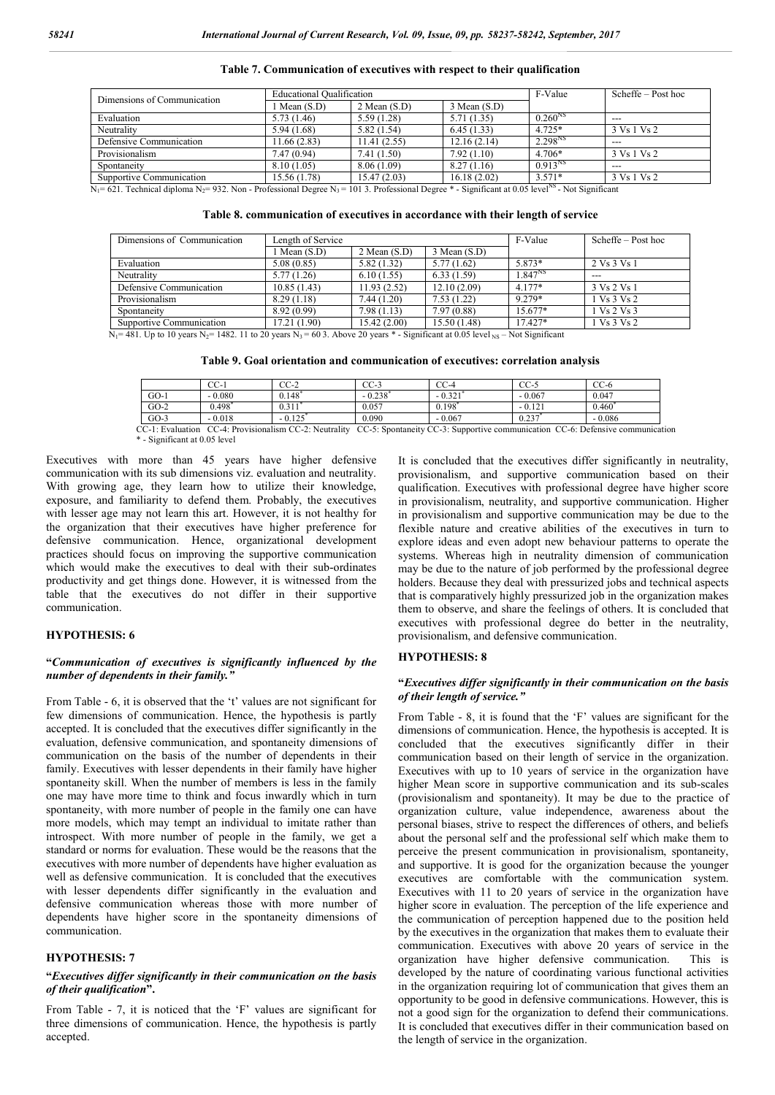| Dimensions of Communication | <b>Educational Oualification</b> |                  | F-Value      | $Scheffe - Post hoc$ |             |
|-----------------------------|----------------------------------|------------------|--------------|----------------------|-------------|
|                             | 1 Mean (S.D)                     | $2$ Mean $(S.D)$ | 3 Mean (S.D) |                      |             |
| Evaluation                  | 5.73(1.46)                       | 5.59 (1.28)      | 5.71(1.35)   | $0.260^{NS}$         | ---         |
| Neutrality                  | 5.94(1.68)                       | 5.82(1.54)       | 6.45(1.33)   | $4.725*$             | 3 Vs 1 Vs 2 |
| Defensive Communication     | 11.66(2.83)                      | 11.41 (2.55)     | 12.16(2.14)  | 2.298 <sup>NS</sup>  | $- - -$     |
| Provisionalism              | 7.47(0.94)                       | 7.41 (1.50)      | 7.92(1.10)   | $4.706*$             | 3 Vs 1 Vs 2 |
| Spontaneity                 | 8.10(1.05)                       | 8.06 (1.09)      | 8.27(1.16)   | $0.913^{NS}$         | $- - -$     |
| Supportive Communication    | 15.56 (1.78)                     | 15.47(2.03)      | 16.18(2.02)  | $3.571*$             | 3 Vs 1 Vs 2 |

**Table 7. Communication of executives with respect to their qualification**

 $\overline{N_1}$ = 621. Technical diploma  $N_2$ = 932. Non - Professional Degree  $N_3$  = 101 3. Professional Degree \* - Significant at 0.05 level<sup>NS</sup> - Not Significant

| Table 8. communication of executives in accordance with their length of service |  |  |  |  |  |
|---------------------------------------------------------------------------------|--|--|--|--|--|
|                                                                                 |  |  |  |  |  |

| Dimensions of Communication | Length of Service |                  |              |             | $Scheffe - Post hoc$ |  |  |
|-----------------------------|-------------------|------------------|--------------|-------------|----------------------|--|--|
|                             | $1$ Mean $(S.D)$  | $2$ Mean $(S.D)$ | 3 Mean (S.D) |             |                      |  |  |
| Evaluation                  | 5.08(0.85)        | 5.82(1.32)       | 5.77(1.62)   | 5.873*      | 2 Vs 3 Vs 1          |  |  |
| Neutrality                  | 5.77(1.26)        | 6.10(1.55)       | 6.33(1.59)   | $1.847^{N}$ | $- - -$              |  |  |
| Defensive Communication     | 10.85(1.43)       | 11.93(2.52)      | 12.10(2.09)  | $4.177*$    | 3 Vs 2 Vs 1          |  |  |
| Provisionalism              | 8.29(1.18)        | 7.44(1.20)       | 7.53(1.22)   | 9.279*      | 1 Vs 3 Vs 2          |  |  |
| Spontaneity                 | 8.92(0.99)        | 7.98(1.13)       | 7.97 (0.88)  | $15.677*$   | 1 Vs 2 Vs 3          |  |  |
| Supportive Communication    | 17.21 (1.90)      | 15.42 (2.00)     | 15.50(1.48)  | $17.427*$   | 1 Vs 3 Vs 2          |  |  |

 $N_1$  = 481. Up to 10 years N<sub>2</sub> = 1482. 11 to 20 years N<sub>3</sub> = 60 3. Above 20 years \* - Significant at 0.05 level <sub>NS</sub> – Not Significant

**Table 9. Goal orientation and communication of executives: correlation analysis**

|        | CC-      | $CC-2$   | CC-3     | $CC-4$   | CC-:        | $CC-6$                                                                                                                                |
|--------|----------|----------|----------|----------|-------------|---------------------------------------------------------------------------------------------------------------------------------------|
| $GO-I$ | $-0.080$ | 0.148    | $-0.238$ | $-0.321$ | $-0.067$    | 0.047                                                                                                                                 |
| $GO-2$ | 0.498    | 0.31     | 0.057    | 0.198    | $-0.12$     | 0.460                                                                                                                                 |
| $GO-3$ | $-0.018$ | $-0.125$ | 0.090    | $-0.067$ | $0.23^{-7}$ | $-0.086$                                                                                                                              |
|        |          |          |          |          |             | CC-1: Evaluation CC-4: Provisionalism CC-2: Neutrality CC-5: Spontaneity CC-3: Supportive communication CC-6: Defensive communication |

\* - Significant at 0.05 level

Executives with more than 45 years have higher defensive communication with its sub dimensions viz. evaluation and neutrality. With growing age, they learn how to utilize their knowledge, exposure, and familiarity to defend them. Probably, the executives with lesser age may not learn this art. However, it is not healthy for the organization that their executives have higher preference for defensive communication. Hence, organizational development practices should focus on improving the supportive communication which would make the executives to deal with their sub-ordinates productivity and get things done. However, it is witnessed from the table that the executives do not differ in their supportive communication.

# **HYPOTHESIS: 6**

# **"***Communication of executives is significantly influenced by the number of dependents in their family."*

From Table - 6, it is observed that the 't' values are not significant for few dimensions of communication. Hence, the hypothesis is partly accepted. It is concluded that the executives differ significantly in the evaluation, defensive communication, and spontaneity dimensions of communication on the basis of the number of dependents in their family. Executives with lesser dependents in their family have higher spontaneity skill. When the number of members is less in the family one may have more time to think and focus inwardly which in turn spontaneity, with more number of people in the family one can have more models, which may tempt an individual to imitate rather than introspect. With more number of people in the family, we get a standard or norms for evaluation. These would be the reasons that the executives with more number of dependents have higher evaluation as well as defensive communication. It is concluded that the executives with lesser dependents differ significantly in the evaluation and defensive communication whereas those with more number of dependents have higher score in the spontaneity dimensions of communication.

## **HYPOTHESIS: 7**

## **"***Executives differ significantly in their communication on the basis of their qualification***".**

From Table - 7, it is noticed that the 'F' values are significant for three dimensions of communication. Hence, the hypothesis is partly accepted.

It is concluded that the executives differ significantly in neutrality, provisionalism, and supportive communication based on their qualification. Executives with professional degree have higher score in provisionalism, neutrality, and supportive communication. Higher in provisionalism and supportive communication may be due to the flexible nature and creative abilities of the executives in turn to explore ideas and even adopt new behaviour patterns to operate the systems. Whereas high in neutrality dimension of communication may be due to the nature of job performed by the professional degree holders. Because they deal with pressurized jobs and technical aspects that is comparatively highly pressurized job in the organization makes them to observe, and share the feelings of others. It is concluded that executives with professional degree do better in the neutrality, provisionalism, and defensive communication.

#### **HYPOTHESIS: 8**

# **"***Executives differ significantly in their communication on the basis of their length of service."*

From Table - 8, it is found that the 'F' values are significant for the dimensions of communication. Hence, the hypothesis is accepted. It is concluded that the executives significantly differ in their communication based on their length of service in the organization. Executives with up to 10 years of service in the organization have higher Mean score in supportive communication and its sub-scales (provisionalism and spontaneity). It may be due to the practice of organization culture, value independence, awareness about the personal biases, strive to respect the differences of others, and beliefs about the personal self and the professional self which make them to perceive the present communication in provisionalism, spontaneity, and supportive. It is good for the organization because the younger executives are comfortable with the communication system. Executives with 11 to 20 years of service in the organization have higher score in evaluation. The perception of the life experience and the communication of perception happened due to the position held by the executives in the organization that makes them to evaluate their communication. Executives with above 20 years of service in the organization have higher defensive communication. This is developed by the nature of coordinating various functional activities in the organization requiring lot of communication that gives them an opportunity to be good in defensive communications. However, this is not a good sign for the organization to defend their communications. It is concluded that executives differ in their communication based on the length of service in the organization.